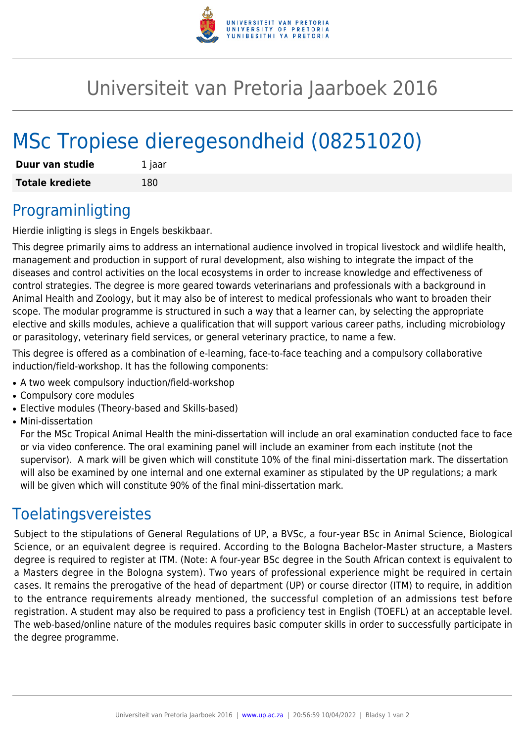

# Universiteit van Pretoria Jaarboek 2016

# MSc Tropiese dieregesondheid (08251020)

| Duur van studie        | 1 jaar |
|------------------------|--------|
| <b>Totale krediete</b> | 180    |

#### Programinligting

Hierdie inligting is slegs in Engels beskikbaar.

This degree primarily aims to address an international audience involved in tropical livestock and wildlife health, management and production in support of rural development, also wishing to integrate the impact of the diseases and control activities on the local ecosystems in order to increase knowledge and effectiveness of control strategies. The degree is more geared towards veterinarians and professionals with a background in Animal Health and Zoology, but it may also be of interest to medical professionals who want to broaden their scope. The modular programme is structured in such a way that a learner can, by selecting the appropriate elective and skills modules, achieve a qualification that will support various career paths, including microbiology or parasitology, veterinary field services, or general veterinary practice, to name a few.

This degree is offered as a combination of e-learning, face-to-face teaching and a compulsory collaborative induction/field-workshop. It has the following components:

- A two week compulsory induction/field-workshop
- Compulsory core modules
- Elective modules (Theory-based and Skills-based)
- Mini-dissertation

For the MSc Tropical Animal Health the mini-dissertation will include an oral examination conducted face to face or via video conference. The oral examining panel will include an examiner from each institute (not the supervisor). A mark will be given which will constitute 10% of the final mini-dissertation mark. The dissertation will also be examined by one internal and one external examiner as stipulated by the UP regulations; a mark will be given which will constitute 90% of the final mini-dissertation mark.

#### Toelatingsvereistes

Subject to the stipulations of General Regulations of UP, a BVSc, a four-year BSc in Animal Science, Biological Science, or an equivalent degree is required. According to the Bologna Bachelor-Master structure, a Masters degree is required to register at ITM. (Note: A four-year BSc degree in the South African context is equivalent to a Masters degree in the Bologna system). Two years of professional experience might be required in certain cases. It remains the prerogative of the head of department (UP) or course director (ITM) to require, in addition to the entrance requirements already mentioned, the successful completion of an admissions test before registration. A student may also be required to pass a proficiency test in English (TOEFL) at an acceptable level. The web-based/online nature of the modules requires basic computer skills in order to successfully participate in the degree programme.